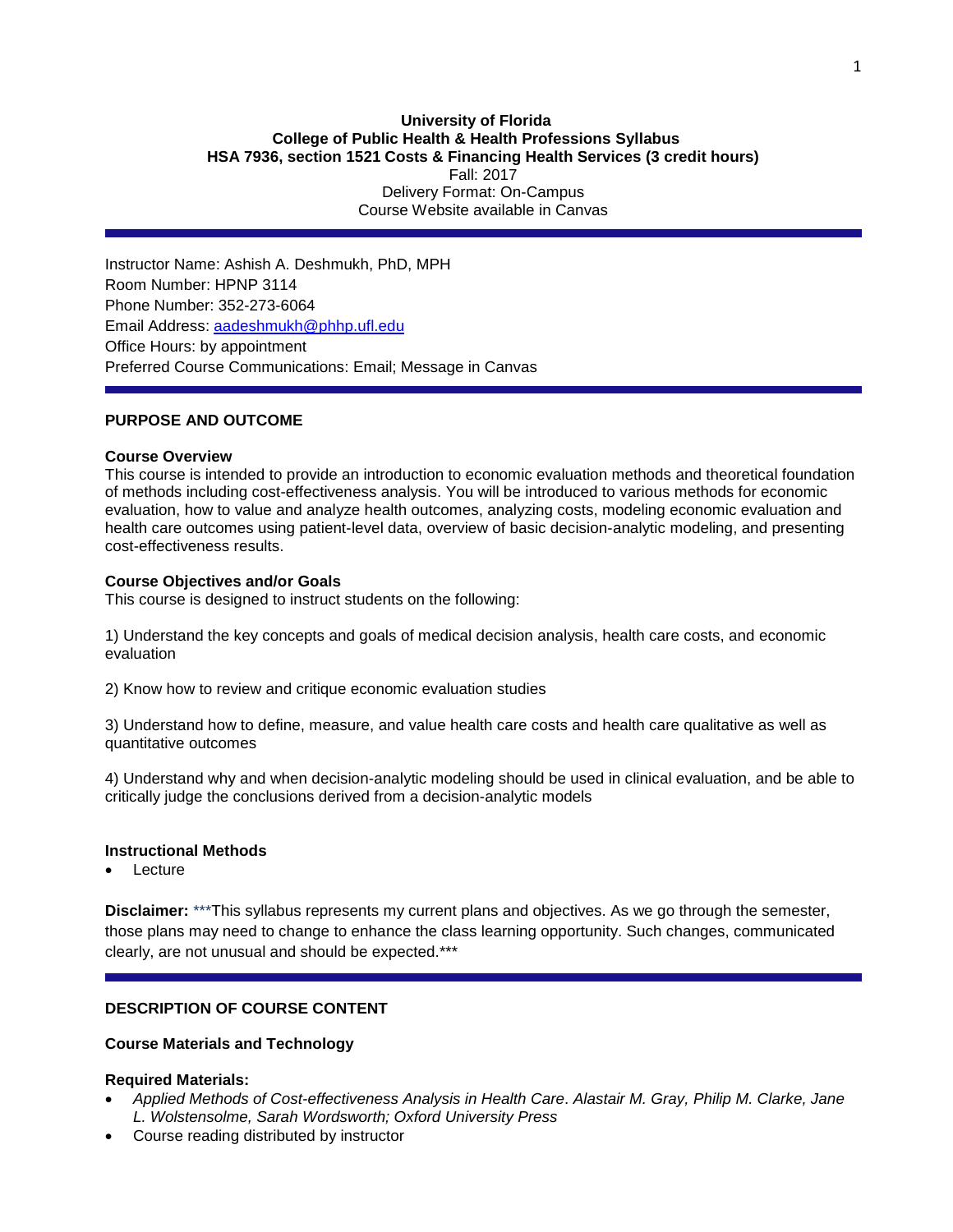#### **University of Florida College of Public Health & Health Professions Syllabus HSA 7936, section 1521 Costs & Financing Health Services (3 credit hours)** Fall: 2017 Delivery Format: On-Campus Course Website available in Canvas

Instructor Name: Ashish A. Deshmukh, PhD, MPH Room Number: HPNP 3114 Phone Number: 352-273-6064 Email Address: [aadeshmukh@phhp.ufl.edu](mailto:aadeshmukh@phhp.ufl.edu) Office Hours: by appointment Preferred Course Communications: Email; Message in Canvas

## **PURPOSE AND OUTCOME**

#### **Course Overview**

This course is intended to provide an introduction to economic evaluation methods and theoretical foundation of methods including cost-effectiveness analysis. You will be introduced to various methods for economic evaluation, how to value and analyze health outcomes, analyzing costs, modeling economic evaluation and health care outcomes using patient-level data, overview of basic decision-analytic modeling, and presenting cost-effectiveness results.

#### **Course Objectives and/or Goals**

This course is designed to instruct students on the following:

1) Understand the key concepts and goals of medical decision analysis, health care costs, and economic evaluation

2) Know how to review and critique economic evaluation studies

3) Understand how to define, measure, and value health care costs and health care qualitative as well as quantitative outcomes

4) Understand why and when decision-analytic modeling should be used in clinical evaluation, and be able to critically judge the conclusions derived from a decision-analytic models

#### **Instructional Methods**

Lecture

**Disclaimer:** \*\*\*This syllabus represents my current plans and objectives. As we go through the semester, those plans may need to change to enhance the class learning opportunity. Such changes, communicated clearly, are not unusual and should be expected.\*\*\*

## **DESCRIPTION OF COURSE CONTENT**

## **Course Materials and Technology**

#### **Required Materials:**

- *Applied Methods of Cost-effectiveness Analysis in Health Care*. *Alastair M. Gray, Philip M. Clarke, Jane L. Wolstensolme, Sarah Wordsworth; Oxford University Press*
- Course reading distributed by instructor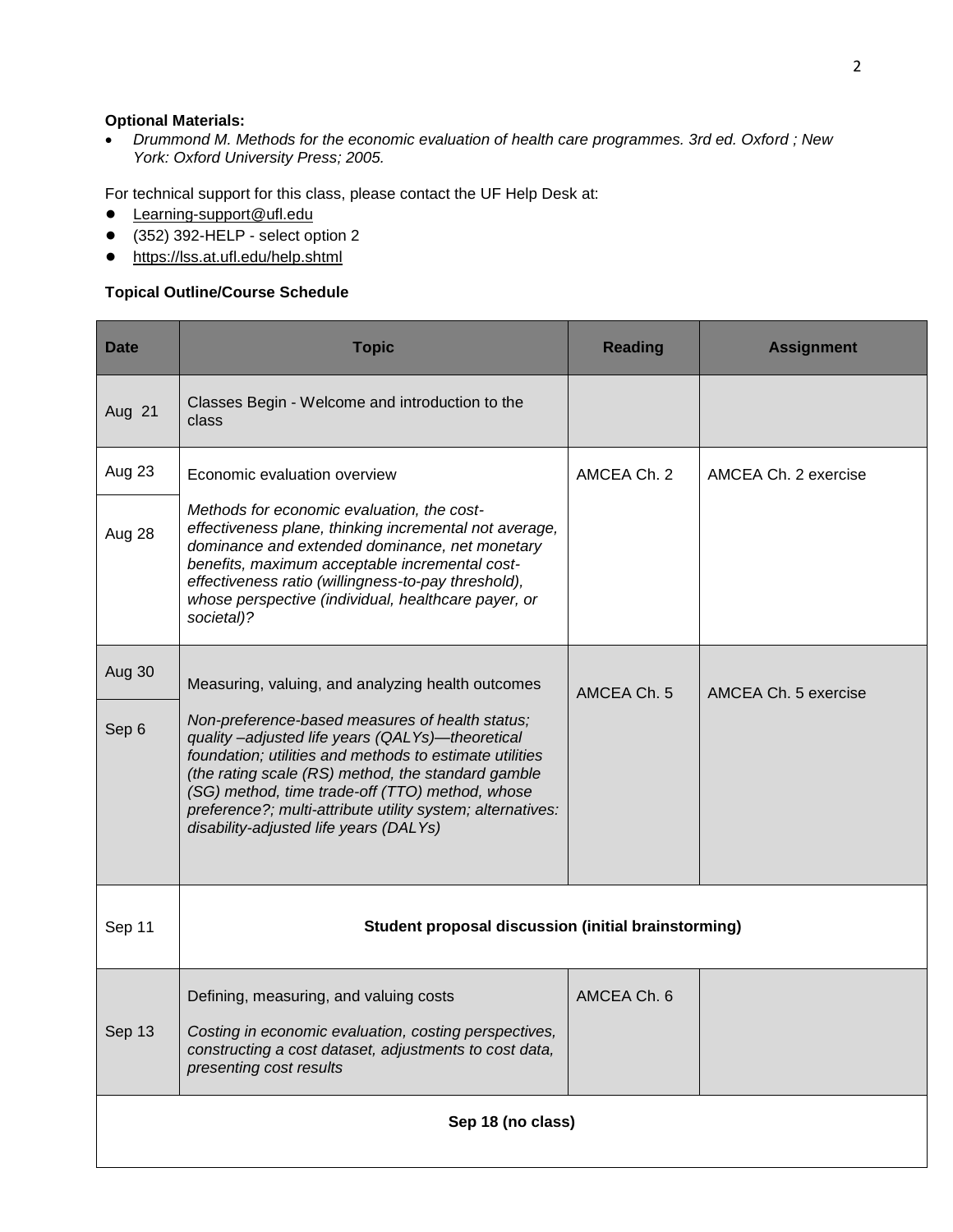# **Optional Materials:**

 *Drummond M. Methods for the economic evaluation of health care programmes. 3rd ed. Oxford ; New York: Oxford University Press; 2005.*

For technical support for this class, please contact the UF Help Desk at:

- [Learning-support@ufl.edu](file:///C:/Users/hackg/Desktop/Learning-support@ufl.edu)
- (352) 392-HELP select option 2
- <https://lss.at.ufl.edu/help.shtml>

## **Topical Outline/Course Schedule**

| <b>Date</b> | <b>Topic</b>                                                                                                                                                                                                                                                                                                                                                                   | <b>Reading</b> | <b>Assignment</b>    |
|-------------|--------------------------------------------------------------------------------------------------------------------------------------------------------------------------------------------------------------------------------------------------------------------------------------------------------------------------------------------------------------------------------|----------------|----------------------|
| Aug 21      | Classes Begin - Welcome and introduction to the<br>class                                                                                                                                                                                                                                                                                                                       |                |                      |
| Aug 23      | Economic evaluation overview                                                                                                                                                                                                                                                                                                                                                   | AMCEA Ch. 2    | AMCEA Ch. 2 exercise |
| Aug 28      | Methods for economic evaluation, the cost-<br>effectiveness plane, thinking incremental not average,<br>dominance and extended dominance, net monetary<br>benefits, maximum acceptable incremental cost-<br>effectiveness ratio (willingness-to-pay threshold),<br>whose perspective (individual, healthcare payer, or<br>societal)?                                           |                |                      |
| Aug 30      | Measuring, valuing, and analyzing health outcomes                                                                                                                                                                                                                                                                                                                              | AMCEA Ch. 5    | AMCEA Ch. 5 exercise |
| Sep 6       | Non-preference-based measures of health status;<br>quality-adjusted life years (QALYs)-theoretical<br>foundation; utilities and methods to estimate utilities<br>(the rating scale (RS) method, the standard gamble<br>(SG) method, time trade-off (TTO) method, whose<br>preference?; multi-attribute utility system; alternatives:<br>disability-adjusted life years (DALYs) |                |                      |
| Sep 11      | Student proposal discussion (initial brainstorming)                                                                                                                                                                                                                                                                                                                            |                |                      |
|             | Defining, measuring, and valuing costs                                                                                                                                                                                                                                                                                                                                         | AMCEA Ch. 6    |                      |
| Sep 13      | Costing in economic evaluation, costing perspectives,<br>constructing a cost dataset, adjustments to cost data,<br>presenting cost results                                                                                                                                                                                                                                     |                |                      |
|             | Sep 18 (no class)                                                                                                                                                                                                                                                                                                                                                              |                |                      |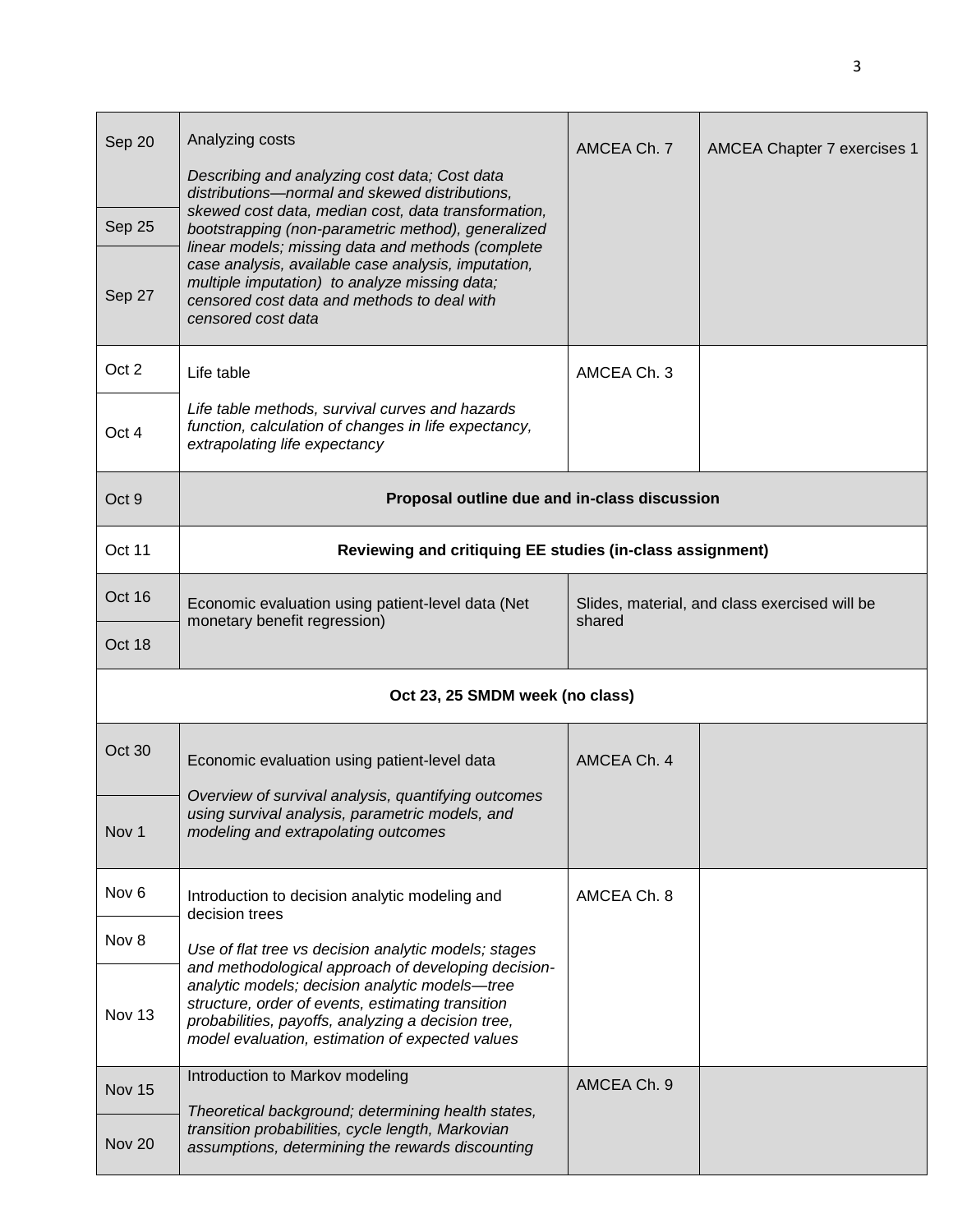| Sep 20<br>Sep 25<br>Sep 27 | Analyzing costs<br>Describing and analyzing cost data; Cost data<br>distributions-normal and skewed distributions,<br>skewed cost data, median cost, data transformation,<br>bootstrapping (non-parametric method), generalized<br>linear models; missing data and methods (complete<br>case analysis, available case analysis, imputation,<br>multiple imputation) to analyze missing data;<br>censored cost data and methods to deal with<br>censored cost data | AMCEA Ch. 7                                             | AMCEA Chapter 7 exercises 1 |  |  |  |  |  |
|----------------------------|-------------------------------------------------------------------------------------------------------------------------------------------------------------------------------------------------------------------------------------------------------------------------------------------------------------------------------------------------------------------------------------------------------------------------------------------------------------------|---------------------------------------------------------|-----------------------------|--|--|--|--|--|
| Oct 2                      | Life table                                                                                                                                                                                                                                                                                                                                                                                                                                                        | AMCEA Ch. 3                                             |                             |  |  |  |  |  |
| Oct 4                      | Life table methods, survival curves and hazards<br>function, calculation of changes in life expectancy,<br>extrapolating life expectancy                                                                                                                                                                                                                                                                                                                          |                                                         |                             |  |  |  |  |  |
| Oct 9                      | Proposal outline due and in-class discussion                                                                                                                                                                                                                                                                                                                                                                                                                      |                                                         |                             |  |  |  |  |  |
| Oct 11                     | Reviewing and critiquing EE studies (in-class assignment)                                                                                                                                                                                                                                                                                                                                                                                                         |                                                         |                             |  |  |  |  |  |
| Oct 16                     | Economic evaluation using patient-level data (Net<br>monetary benefit regression)                                                                                                                                                                                                                                                                                                                                                                                 | Slides, material, and class exercised will be<br>shared |                             |  |  |  |  |  |
| Oct 18                     |                                                                                                                                                                                                                                                                                                                                                                                                                                                                   |                                                         |                             |  |  |  |  |  |
|                            | Oct 23, 25 SMDM week (no class)                                                                                                                                                                                                                                                                                                                                                                                                                                   |                                                         |                             |  |  |  |  |  |
| Oct 30                     | Economic evaluation using patient-level data                                                                                                                                                                                                                                                                                                                                                                                                                      | AMCEA Ch. 4                                             |                             |  |  |  |  |  |
| Nov 1                      | Overview of survival analysis, quantifying outcomes<br>using survival analysis, parametric models, and<br>modeling and extrapolating outcomes                                                                                                                                                                                                                                                                                                                     |                                                         |                             |  |  |  |  |  |
| Nov <sub>6</sub>           | Introduction to decision analytic modeling and<br>decision trees                                                                                                                                                                                                                                                                                                                                                                                                  | AMCEA Ch. 8                                             |                             |  |  |  |  |  |
| Nov 8                      | Use of flat tree vs decision analytic models; stages                                                                                                                                                                                                                                                                                                                                                                                                              |                                                         |                             |  |  |  |  |  |
| Nov 13                     | and methodological approach of developing decision-<br>analytic models; decision analytic models-tree<br>structure, order of events, estimating transition<br>probabilities, payoffs, analyzing a decision tree,<br>model evaluation, estimation of expected values                                                                                                                                                                                               |                                                         |                             |  |  |  |  |  |
| Nov 15                     | Introduction to Markov modeling                                                                                                                                                                                                                                                                                                                                                                                                                                   | AMCEA Ch. 9                                             |                             |  |  |  |  |  |
| Nov 20                     | Theoretical background; determining health states,<br>transition probabilities, cycle length, Markovian<br>assumptions, determining the rewards discounting                                                                                                                                                                                                                                                                                                       |                                                         |                             |  |  |  |  |  |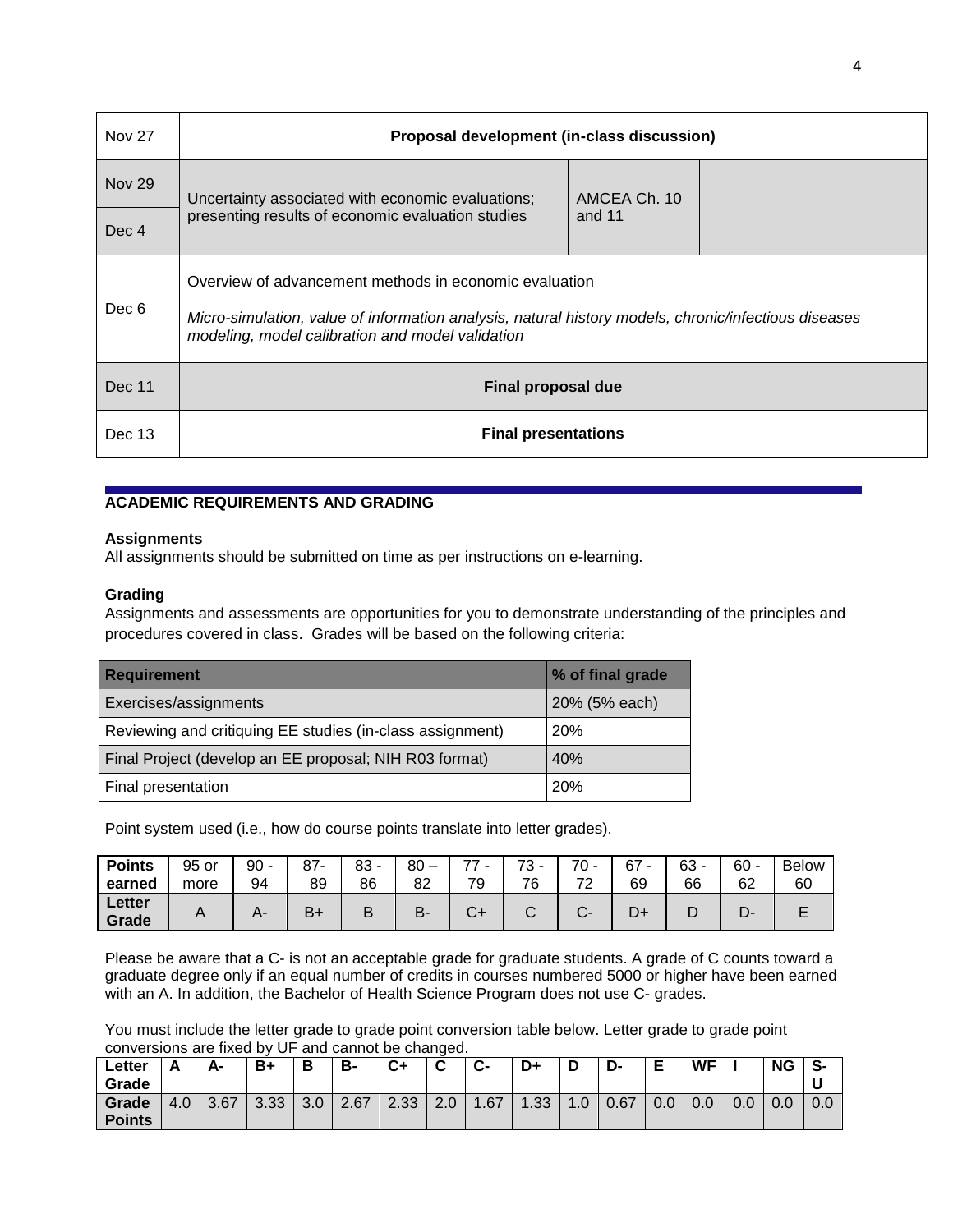| <b>Nov 27</b>    | Proposal development (in-class discussion)                                                                                                                                                                         |  |  |  |  |  |  |  |  |  |  |
|------------------|--------------------------------------------------------------------------------------------------------------------------------------------------------------------------------------------------------------------|--|--|--|--|--|--|--|--|--|--|
| <b>Nov 29</b>    | AMCEA Ch. 10<br>Uncertainty associated with economic evaluations;                                                                                                                                                  |  |  |  |  |  |  |  |  |  |  |
| Dec <sub>4</sub> | presenting results of economic evaluation studies<br>and 11                                                                                                                                                        |  |  |  |  |  |  |  |  |  |  |
| Dec 6            | Overview of advancement methods in economic evaluation<br>Micro-simulation, value of information analysis, natural history models, chronic/infectious diseases<br>modeling, model calibration and model validation |  |  |  |  |  |  |  |  |  |  |
| Dec 11           | Final proposal due                                                                                                                                                                                                 |  |  |  |  |  |  |  |  |  |  |
| Dec 13           | <b>Final presentations</b>                                                                                                                                                                                         |  |  |  |  |  |  |  |  |  |  |

# **ACADEMIC REQUIREMENTS AND GRADING**

## **Assignments**

All assignments should be submitted on time as per instructions on e-learning.

## **Grading**

Assignments and assessments are opportunities for you to demonstrate understanding of the principles and procedures covered in class. Grades will be based on the following criteria:

| <b>Requirement</b>                                        | % of final grade |  |  |
|-----------------------------------------------------------|------------------|--|--|
| <b>Exercises/assignments</b>                              | 20% (5% each)    |  |  |
| Reviewing and critiquing EE studies (in-class assignment) | 20%              |  |  |
| Final Project (develop an EE proposal; NIH R03 format)    | 40%              |  |  |
| Final presentation                                        | 20%              |  |  |

Point system used (i.e., how do course points translate into letter grades).

| <b>Points</b><br>earned | 95 or<br>more            | 90<br>94 | 87<br>89 | ററ<br>ია<br>86 | 80<br>82 | $\overline{\phantom{a}}$<br>70 | 70<br>76 | $\overline{z}$ | 67<br>07<br>69 | $63 -$<br>66 | 60<br>62 | <b>Below</b><br>60 |
|-------------------------|--------------------------|----------|----------|----------------|----------|--------------------------------|----------|----------------|----------------|--------------|----------|--------------------|
|                         |                          |          |          |                |          |                                |          | <u>_</u>       |                |              |          |                    |
| Letter<br>Grade         | $\overline{\phantom{a}}$ |          | D.       |                | D<br>⊷   |                                |          |                |                | ◡            | ◡        |                    |

Please be aware that a C- is not an acceptable grade for graduate students. A grade of C counts toward a graduate degree only if an equal number of credits in courses numbered 5000 or higher have been earned with an A. In addition, the Bachelor of Health Science Program does not use C- grades.

You must include the letter grade to grade point conversion table below. Letter grade to grade point conversions are fixed by UF and cannot be changed.

| Letter        |     | А-   | B+   | В                | B-   | $C+$ | ◠<br>◡ | <b>C-</b> | D+  |     | D-   | Е   | <b>WF</b> |     | <b>NG</b> | -S  |
|---------------|-----|------|------|------------------|------|------|--------|-----------|-----|-----|------|-----|-----------|-----|-----------|-----|
| Grade         |     |      |      |                  |      |      |        |           |     |     |      |     |           |     |           |     |
| Grade         | 4.0 | 3.67 | 3.33 | 3.0 <sub>2</sub> | 2.67 | 2.33 | 2.0    | .67       | .33 | 1.0 | 0.67 | 0.0 | 0.0       | 0.0 | 0.0       | 0.0 |
| <b>Points</b> |     |      |      |                  |      |      |        |           |     |     |      |     |           |     |           |     |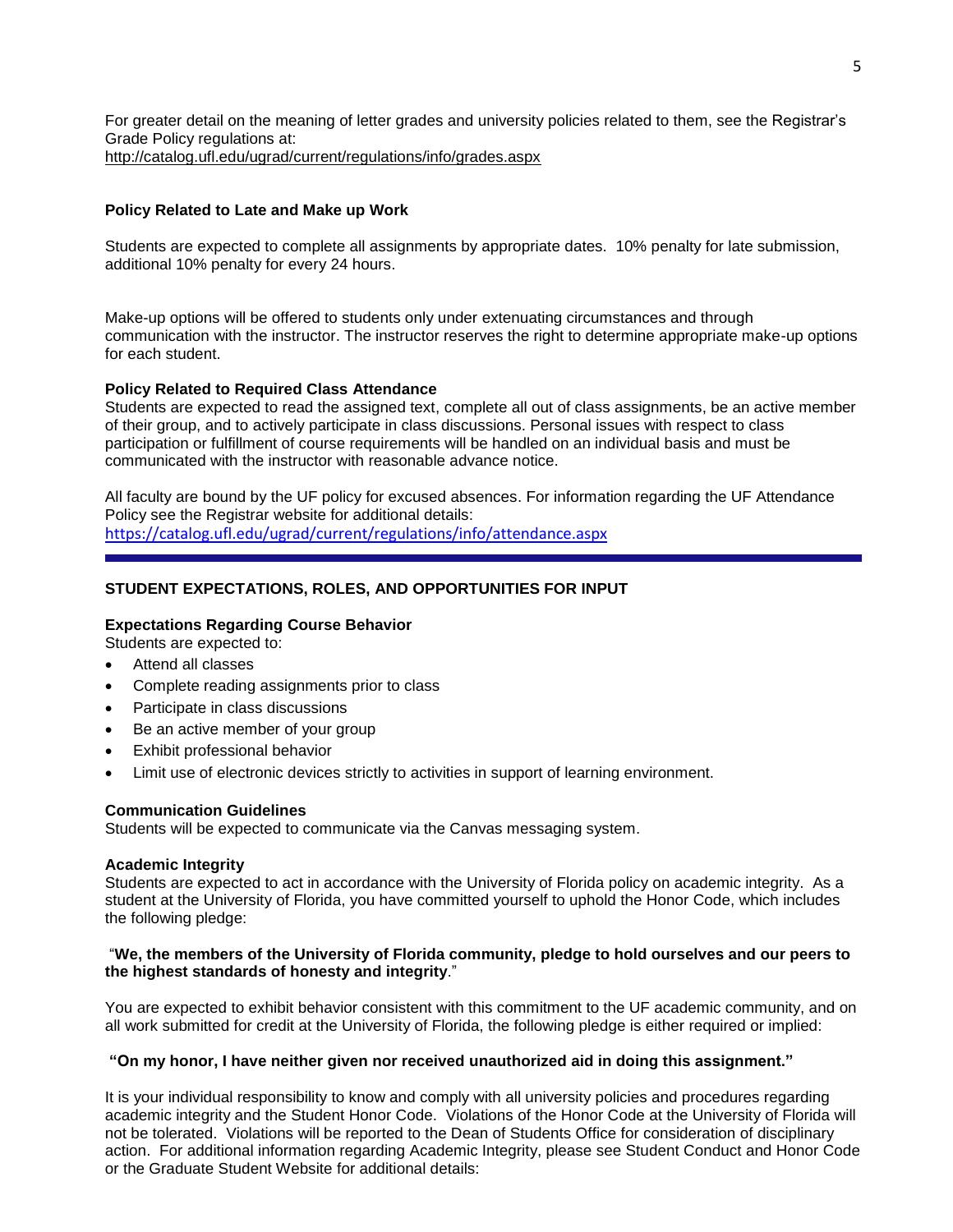For greater detail on the meaning of letter grades and university policies related to them, see the Registrar's Grade Policy regulations at: <http://catalog.ufl.edu/ugrad/current/regulations/info/grades.aspx>

## **Policy Related to Late and Make up Work**

Students are expected to complete all assignments by appropriate dates. 10% penalty for late submission, additional 10% penalty for every 24 hours.

Make-up options will be offered to students only under extenuating circumstances and through communication with the instructor. The instructor reserves the right to determine appropriate make-up options for each student.

## **Policy Related to Required Class Attendance**

Students are expected to read the assigned text, complete all out of class assignments, be an active member of their group, and to actively participate in class discussions. Personal issues with respect to class participation or fulfillment of course requirements will be handled on an individual basis and must be communicated with the instructor with reasonable advance notice.

All faculty are bound by the UF policy for excused absences. For information regarding the UF Attendance Policy see the Registrar website for additional details: <https://catalog.ufl.edu/ugrad/current/regulations/info/attendance.aspx>

# **STUDENT EXPECTATIONS, ROLES, AND OPPORTUNITIES FOR INPUT**

## **Expectations Regarding Course Behavior**

Students are expected to:

- Attend all classes
- Complete reading assignments prior to class
- Participate in class discussions
- Be an active member of your group
- Exhibit professional behavior
- Limit use of electronic devices strictly to activities in support of learning environment.

## **Communication Guidelines**

Students will be expected to communicate via the Canvas messaging system.

## **Academic Integrity**

Students are expected to act in accordance with the University of Florida policy on academic integrity. As a student at the University of Florida, you have committed yourself to uphold the Honor Code, which includes the following pledge:

## "**We, the members of the University of Florida community, pledge to hold ourselves and our peers to the highest standards of honesty and integrity**."

You are expected to exhibit behavior consistent with this commitment to the UF academic community, and on all work submitted for credit at the University of Florida, the following pledge is either required or implied:

## **"On my honor, I have neither given nor received unauthorized aid in doing this assignment."**

It is your individual responsibility to know and comply with all university policies and procedures regarding academic integrity and the Student Honor Code. Violations of the Honor Code at the University of Florida will not be tolerated. Violations will be reported to the Dean of Students Office for consideration of disciplinary action. For additional information regarding Academic Integrity, please see Student Conduct and Honor Code or the Graduate Student Website for additional details: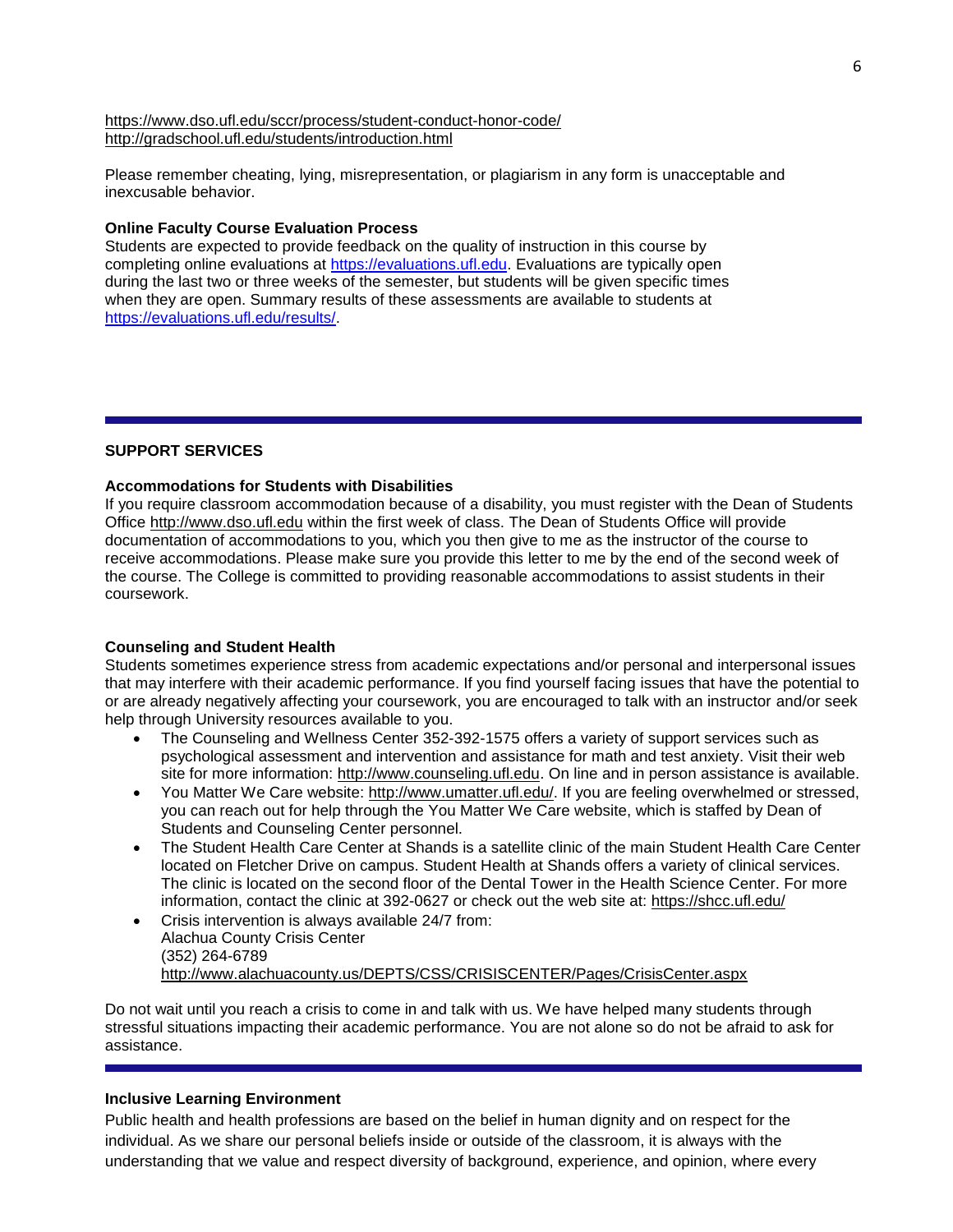#### <https://www.dso.ufl.edu/sccr/process/student-conduct-honor-code/> <http://gradschool.ufl.edu/students/introduction.html>

Please remember cheating, lying, misrepresentation, or plagiarism in any form is unacceptable and inexcusable behavior.

## **Online Faculty Course Evaluation Process**

Students are expected to provide feedback on the quality of instruction in this course by completing online evaluations at [https://evaluations.ufl.edu.](https://evaluations.ufl.edu/) Evaluations are typically open during the last two or three weeks of the semester, but students will be given specific times when they are open. Summary results of these assessments are available to students at [https://evaluations.ufl.edu/results/.](https://evaluations.ufl.edu/results/)

## **SUPPORT SERVICES**

# **Accommodations for Students with Disabilities**

If you require classroom accommodation because of a disability, you must register with the Dean of Students Office [http://www.dso.ufl.edu](http://www.dso.ufl.edu/) within the first week of class. The Dean of Students Office will provide documentation of accommodations to you, which you then give to me as the instructor of the course to receive accommodations. Please make sure you provide this letter to me by the end of the second week of the course. The College is committed to providing reasonable accommodations to assist students in their coursework.

## **Counseling and Student Health**

Students sometimes experience stress from academic expectations and/or personal and interpersonal issues that may interfere with their academic performance. If you find yourself facing issues that have the potential to or are already negatively affecting your coursework, you are encouraged to talk with an instructor and/or seek help through University resources available to you.

- The Counseling and Wellness Center 352-392-1575 offers a variety of support services such as psychological assessment and intervention and assistance for math and test anxiety. Visit their web site for more information: [http://www.counseling.ufl.edu.](http://www.counseling.ufl.edu/) On line and in person assistance is available.
- You Matter We Care website: [http://www.umatter.ufl.edu/.](http://www.umatter.ufl.edu/) If you are feeling overwhelmed or stressed, you can reach out for help through the You Matter We Care website, which is staffed by Dean of Students and Counseling Center personnel.
- The Student Health Care Center at Shands is a satellite clinic of the main Student Health Care Center located on Fletcher Drive on campus. Student Health at Shands offers a variety of clinical services. The clinic is located on the second floor of the Dental Tower in the Health Science Center. For more information, contact the clinic at 392-0627 or check out the web site at: <https://shcc.ufl.edu/>
- Crisis intervention is always available 24/7 from: Alachua County Crisis Center (352) 264-6789 <http://www.alachuacounty.us/DEPTS/CSS/CRISISCENTER/Pages/CrisisCenter.aspx>

Do not wait until you reach a crisis to come in and talk with us. We have helped many students through stressful situations impacting their academic performance. You are not alone so do not be afraid to ask for assistance.

## **Inclusive Learning Environment**

Public health and health professions are based on the belief in human dignity and on respect for the individual. As we share our personal beliefs inside or outside of the classroom, it is always with the understanding that we value and respect diversity of background, experience, and opinion, where every